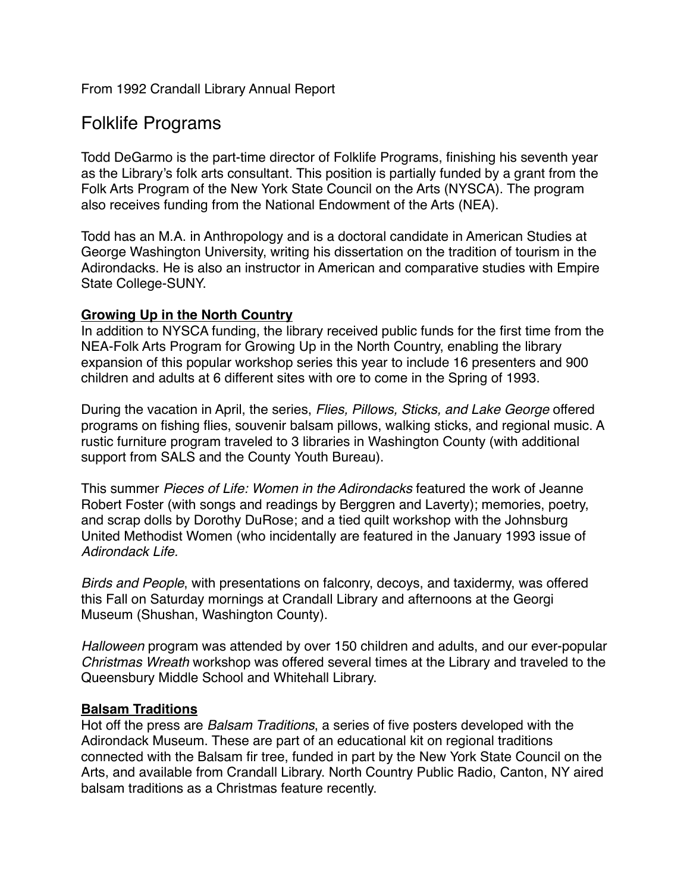## From 1992 Crandall Library Annual Report

# Folklife Programs

Todd DeGarmo is the part-time director of Folklife Programs, finishing his seventh year as the Library's folk arts consultant. This position is partially funded by a grant from the Folk Arts Program of the New York State Council on the Arts (NYSCA). The program also receives funding from the National Endowment of the Arts (NEA).

Todd has an M.A. in Anthropology and is a doctoral candidate in American Studies at George Washington University, writing his dissertation on the tradition of tourism in the Adirondacks. He is also an instructor in American and comparative studies with Empire State College-SUNY.

#### **Growing Up in the North Country**

In addition to NYSCA funding, the library received public funds for the first time from the NEA-Folk Arts Program for Growing Up in the North Country, enabling the library expansion of this popular workshop series this year to include 16 presenters and 900 children and adults at 6 different sites with ore to come in the Spring of 1993.

During the vacation in April, the series, *Flies, Pillows, Sticks, and Lake George* offered programs on fishing flies, souvenir balsam pillows, walking sticks, and regional music. A rustic furniture program traveled to 3 libraries in Washington County (with additional support from SALS and the County Youth Bureau).

This summer *Pieces of Life: Women in the Adirondacks* featured the work of Jeanne Robert Foster (with songs and readings by Berggren and Laverty); memories, poetry, and scrap dolls by Dorothy DuRose; and a tied quilt workshop with the Johnsburg United Methodist Women (who incidentally are featured in the January 1993 issue of *Adirondack Life.*

*Birds and People*, with presentations on falconry, decoys, and taxidermy, was offered this Fall on Saturday mornings at Crandall Library and afternoons at the Georgi Museum (Shushan, Washington County).

*Halloween* program was attended by over 150 children and adults, and our ever-popular *Christmas Wreath* workshop was offered several times at the Library and traveled to the Queensbury Middle School and Whitehall Library.

#### **Balsam Traditions**

Hot off the press are *Balsam Traditions*, a series of five posters developed with the Adirondack Museum. These are part of an educational kit on regional traditions connected with the Balsam fir tree, funded in part by the New York State Council on the Arts, and available from Crandall Library. North Country Public Radio, Canton, NY aired balsam traditions as a Christmas feature recently.